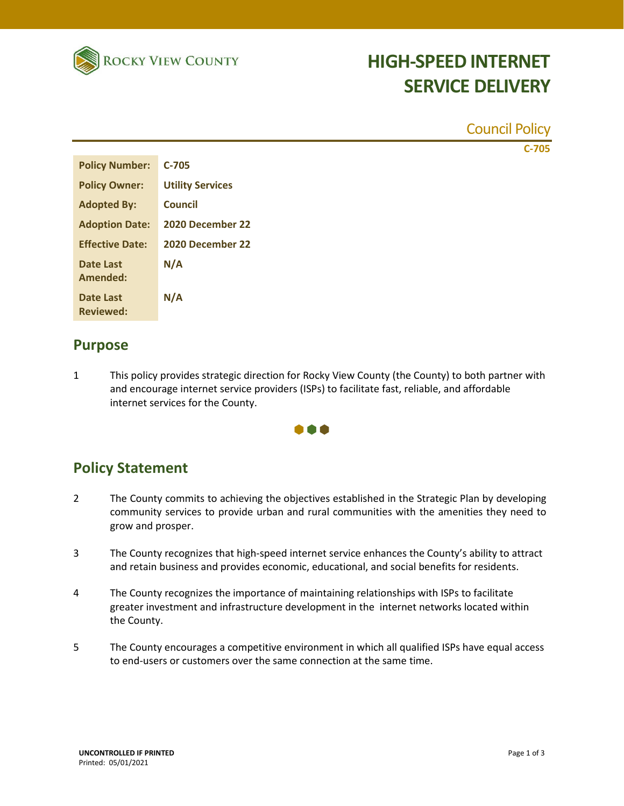

# **HIGH-SPEED INTERNET SERVICE DELIVERY**

|                                      |                         | <b>Council Policy</b> |
|--------------------------------------|-------------------------|-----------------------|
|                                      |                         | $C-705$               |
| <b>Policy Number:</b>                | $C-705$                 |                       |
| <b>Policy Owner:</b>                 | <b>Utility Services</b> |                       |
| <b>Adopted By:</b>                   | <b>Council</b>          |                       |
| <b>Adoption Date:</b>                | 2020 December 22        |                       |
| <b>Effective Date:</b>               | 2020 December 22        |                       |
| <b>Date Last</b>                     | N/A                     |                       |
| <b>Amended:</b>                      |                         |                       |
| <b>Date Last</b><br><b>Reviewed:</b> | N/A                     |                       |
|                                      |                         |                       |

#### **Purpose**

1 This policy provides strategic direction for Rocky View County (the County) to both partner with and encourage internet service providers (ISPs) to facilitate fast, reliable, and affordable internet services for the County.



### **Policy Statement**

- 2 The County commits to achieving the objectives established in the Strategic Plan by developing community services to provide urban and rural communities with the amenities they need to grow and prosper.
- 3 The County recognizes that high-speed internet service enhances the County's ability to attract and retain business and provides economic, educational, and social benefits for residents.
- 4 The County recognizes the importance of maintaining relationships with ISPs to facilitate greater investment and infrastructure development in the internet networks located within the County.
- 5 The County encourages a competitive environment in which all qualified ISPs have equal access to end-users or customers over the same connection at the same time.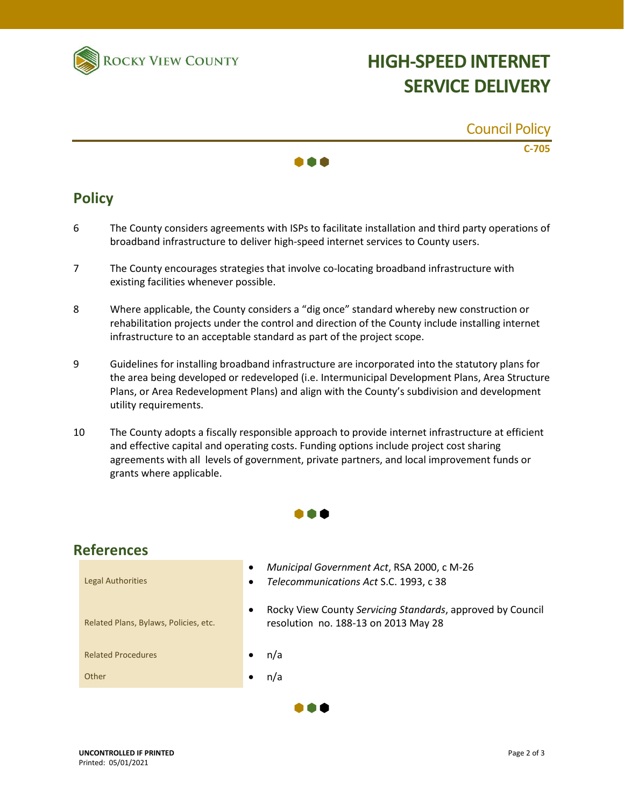

# **HIGH-SPEED INTERNET SERVICE DELIVERY**

|                           | <b>Council Policy</b> |
|---------------------------|-----------------------|
| $\bullet \bullet \bullet$ | $C-705$               |

### **Policy**

- 6 The County considers agreements with ISPs to facilitate installation and third party operations of broadband infrastructure to deliver high-speed internet services to County users.
- 7 The County encourages strategies that involve co-locating broadband infrastructure with existing facilities whenever possible.
- 8 Where applicable, the County considers a "dig once" standard whereby new construction or rehabilitation projects under the control and direction of the County include installing internet infrastructure to an acceptable standard as part of the project scope.
- 9 Guidelines for installing broadband infrastructure are incorporated into the statutory plans for the area being developed or redeveloped (i.e. Intermunicipal Development Plans, Area Structure Plans, or Area Redevelopment Plans) and align with the County's subdivision and development utility requirements.
- 10 The County adopts a fiscally responsible approach to provide internet infrastructure at efficient and effective capital and operating costs. Funding options include project cost sharing agreements with all levels of government, private partners, and local improvement funds or grants where applicable.



### **References**

| <b>Legal Authorities</b>              | Municipal Government Act, RSA 2000, c M-26<br>$\bullet$<br>Telecommunications Act S.C. 1993, c 38<br>$\bullet$  |
|---------------------------------------|-----------------------------------------------------------------------------------------------------------------|
| Related Plans, Bylaws, Policies, etc. | Rocky View County Servicing Standards, approved by Council<br>$\bullet$<br>resolution no. 188-13 on 2013 May 28 |
| <b>Related Procedures</b>             | n/a<br>$\bullet$                                                                                                |
| Other                                 | n/a                                                                                                             |
|                                       |                                                                                                                 |

 $\bullet \bullet \bullet$